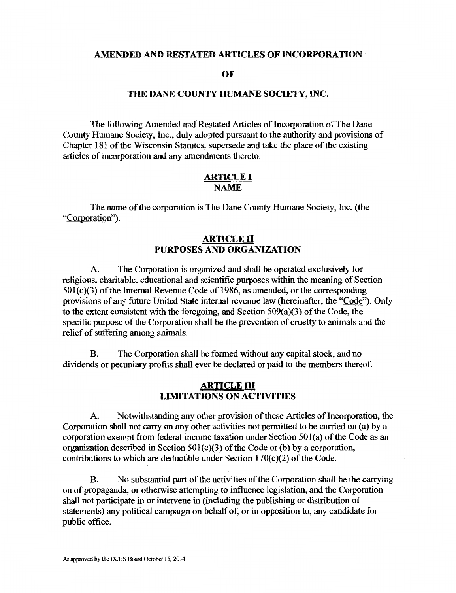#### AMENDED AND RESTATED ARTICLES OF INCORPORATION

OF

#### THE DANE COUNTY HUMANE SOCIETY, INC.

The following Amended and Restated Articles of Incorporation of The Dane County Humane Society, Inc., duly adopted pursuant to the authority and provisions of Chapter 181 of the Wisconsin Statutes, supersede and take the place of the existing articles of incorporation and any amendments thereto.

#### ARTICLE I NAME

The name of the corporation is The Dane County Humane Society, Inc. (the "Corporation").

## ARTICLE II PURPOSES AND ORGANIZATION

A. The Corporation is organized and shall be operated exclusively for religious, charitable, educational and scientific purposes within the meaning of Section  $501(c)$ ( $3$ ) of the Internal Revenue Code of 1986, as amended, or the corresponding provisions of any future United State internal revenue law (hereinafter, the "Code"). Only to the extent consistent with the foregoing, and Section 509(a)(3) of the Code, the specific purpose of the Corporation shall be the prevention of cruelty to animals and the relief of suffering among animals.

B. The Corporation shall be formed without any capital stock, and no dividends or pecuniary profits shall ever be declared or paid to the members thereof.

## ARTICLE III LIMITATIONS ON ACTIVITIES

A. Notwithstanding any other provision of these Articles of Incorporation, the Corporation shall not carry on any other activities not permitted to be carried on (a) by a corporation exempt from federal income taxation under Section 50l(a) of the Code as an organization described in Section 501(c)(3) of the Code or (b) by a corporation, contributions to which are deductible under Section  $170(c)(2)$  of the Code.

B. No substantial part of the activities of the Corporation shall be the carrying on of propaganda, or otherwise attempting to influence legislation, and the Corporation shall not participate in or intervene in (including the publishing or distribution of statements) any political campaign on behalf of, or in opposition to, any candidate for public office.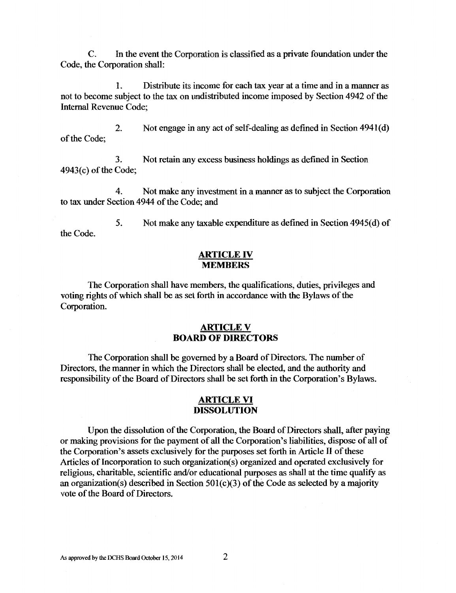C. In the event the Corporation is classified as a private foundation under the Code, the Corporation shall:

1. Distribute its income for each tax year at a time and in a manner as not to become subject to the tax on undistributed income imposed by Section 4942 of the Internal Revenue Code;

2. Not engage in any act of self-dealing as defined in Section  $4941(d)$ of the Code;

3. Not retain any excess business holdings as defined in Section 4943(c) of the Code;

4. Not make any investment in a manner as to subject the Corporation to tax under Section 4944 of the Code: and

the Code. 5. Not make any taxable expenditure as defmed in Section 4945(d) of

#### ARTICLE IV **MEMBERS**

The Corporation shall have members, the qualifications, duties, privileges and voting rights of which shall be as set forth in accordance with the Bylaws of the Corporation.

## **ARTICLE V BOARD** OF DIRECTORS

The Corporation shall be governed by a Board of Directors. The number of Directors, the manner in which the Directors shall be elected, and the authority and responsibility of the Board of Directors shall be set forth in the Corporation's Bylaws.

## ARTICLE VI DISSOLUTION

Upon the dissolution of the Corporation, the Board of Directors shall, after paying or making provisions for the payment of all the Corporation's liabilities, dispose of all of the Corporation's assets exclusively for the purposes set forth in Article II of these Articles of Incorporation to such organization( s) organized and operated exclusively for religious, charitable, scientific and/or educational purposes as shall at the time qualify as an organization(s) described in Section 501(c)(3) of the Code as selected by a majority vote of the Board of Directors.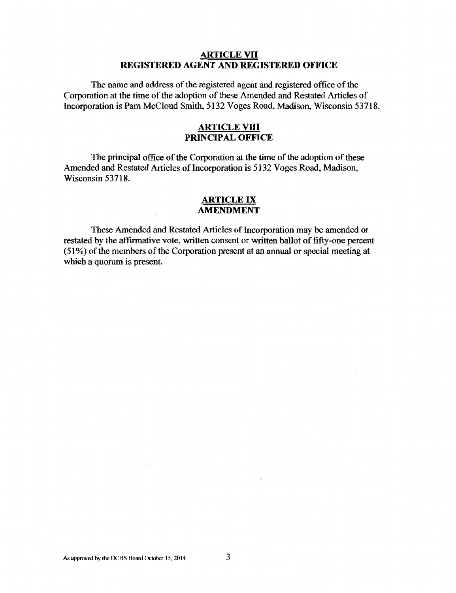# ARTICLE VII REGISTERED AGENT AND REGISTERED OFFICE

The name and address of the registered agent and registered office of the Corporation at the time of the adoption of these Amended and Restated Articles of Incorporation is Pam McCloud Smith, 5132 Voges Road, Madison, Wisconsin 53718.

# ARTICLE VIII PRINCIPAL OFFICE

The principal office of the Corporation at the time of the adoption of these Amended and Restated Articles of Incorporation is 5132 Voges Road, Madison, Wisconsin 53718.

### ARTICLE IX AMENDMENT

These Amended and Restated Articles of Incorporation may be amended or restated by the affirmative vote, written consent or written ballot of fifty-one percent ( 51 % ) of the members of the Corporation present at an annual or special meeting at which a quorum is present.